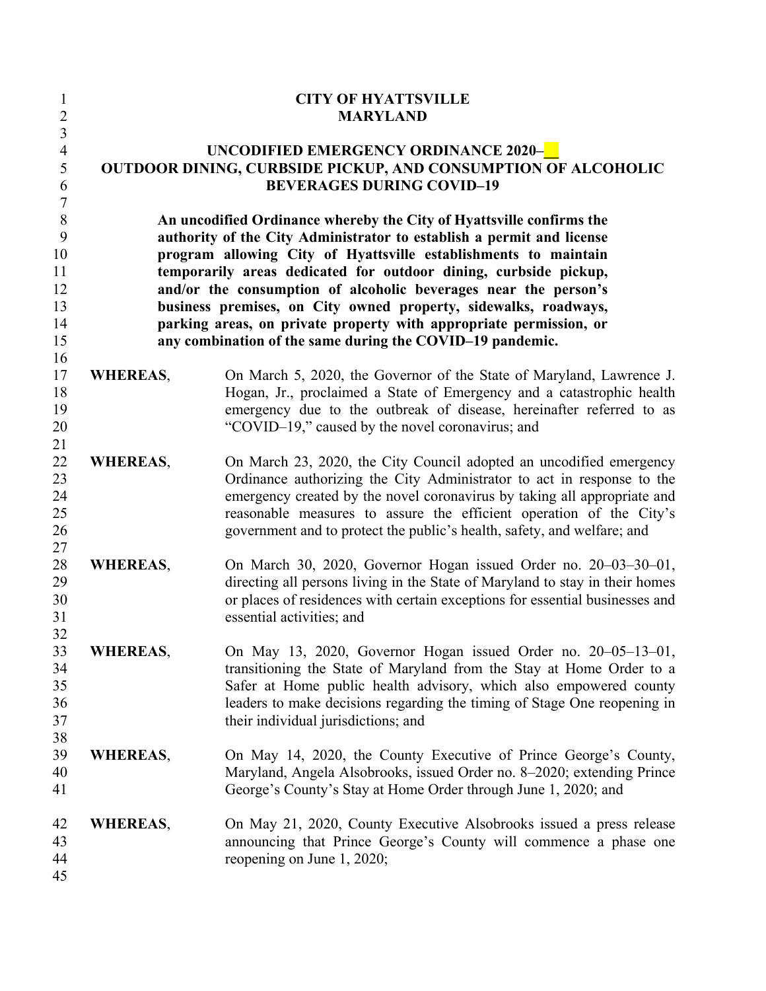| $\mathbf{1}$<br>$\overline{2}$ |                                                                                                                                                                                                                                                                                 | <b>CITY OF HYATTSVILLE</b><br><b>MARYLAND</b>                                |  |  |
|--------------------------------|---------------------------------------------------------------------------------------------------------------------------------------------------------------------------------------------------------------------------------------------------------------------------------|------------------------------------------------------------------------------|--|--|
| $\overline{3}$                 |                                                                                                                                                                                                                                                                                 |                                                                              |  |  |
| $\overline{4}$                 | UNCODIFIED EMERGENCY ORDINANCE 2020-                                                                                                                                                                                                                                            |                                                                              |  |  |
| 5                              | OUTDOOR DINING, CURBSIDE PICKUP, AND CONSUMPTION OF ALCOHOLIC                                                                                                                                                                                                                   |                                                                              |  |  |
| 6                              |                                                                                                                                                                                                                                                                                 | <b>BEVERAGES DURING COVID-19</b>                                             |  |  |
| $\sqrt{ }$                     |                                                                                                                                                                                                                                                                                 |                                                                              |  |  |
| $\, 8$                         |                                                                                                                                                                                                                                                                                 | An uncodified Ordinance whereby the City of Hyattsville confirms the         |  |  |
| 9                              | authority of the City Administrator to establish a permit and license<br>program allowing City of Hyattsville establishments to maintain<br>temporarily areas dedicated for outdoor dining, curbside pickup,<br>and/or the consumption of alcoholic beverages near the person's |                                                                              |  |  |
| 10                             |                                                                                                                                                                                                                                                                                 |                                                                              |  |  |
| 11                             |                                                                                                                                                                                                                                                                                 |                                                                              |  |  |
| 12                             |                                                                                                                                                                                                                                                                                 |                                                                              |  |  |
| 13                             |                                                                                                                                                                                                                                                                                 | business premises, on City owned property, sidewalks, roadways,              |  |  |
| 14                             | parking areas, on private property with appropriate permission, or                                                                                                                                                                                                              |                                                                              |  |  |
| 15                             |                                                                                                                                                                                                                                                                                 | any combination of the same during the COVID-19 pandemic.                    |  |  |
| 16                             |                                                                                                                                                                                                                                                                                 |                                                                              |  |  |
| 17                             | <b>WHEREAS,</b>                                                                                                                                                                                                                                                                 | On March 5, 2020, the Governor of the State of Maryland, Lawrence J.         |  |  |
| 18                             |                                                                                                                                                                                                                                                                                 | Hogan, Jr., proclaimed a State of Emergency and a catastrophic health        |  |  |
| 19                             |                                                                                                                                                                                                                                                                                 | emergency due to the outbreak of disease, hereinafter referred to as         |  |  |
| 20                             |                                                                                                                                                                                                                                                                                 | "COVID-19," caused by the novel coronavirus; and                             |  |  |
| 21                             |                                                                                                                                                                                                                                                                                 |                                                                              |  |  |
| 22                             | <b>WHEREAS,</b>                                                                                                                                                                                                                                                                 | On March 23, 2020, the City Council adopted an uncodified emergency          |  |  |
| 23                             |                                                                                                                                                                                                                                                                                 | Ordinance authorizing the City Administrator to act in response to the       |  |  |
| 24                             |                                                                                                                                                                                                                                                                                 | emergency created by the novel coronavirus by taking all appropriate and     |  |  |
| 25                             |                                                                                                                                                                                                                                                                                 | reasonable measures to assure the efficient operation of the City's          |  |  |
| 26                             |                                                                                                                                                                                                                                                                                 | government and to protect the public's health, safety, and welfare; and      |  |  |
| 27                             |                                                                                                                                                                                                                                                                                 |                                                                              |  |  |
| 28                             | <b>WHEREAS,</b>                                                                                                                                                                                                                                                                 | On March 30, 2020, Governor Hogan issued Order no. 20–03–30–01,              |  |  |
| 29                             |                                                                                                                                                                                                                                                                                 | directing all persons living in the State of Maryland to stay in their homes |  |  |
| 30                             |                                                                                                                                                                                                                                                                                 | or places of residences with certain exceptions for essential businesses and |  |  |
| 31                             |                                                                                                                                                                                                                                                                                 | essential activities; and                                                    |  |  |
| 32                             |                                                                                                                                                                                                                                                                                 |                                                                              |  |  |
| 33                             | <b>WHEREAS,</b>                                                                                                                                                                                                                                                                 | On May 13, 2020, Governor Hogan issued Order no. 20-05-13-01,                |  |  |
| 34                             |                                                                                                                                                                                                                                                                                 | transitioning the State of Maryland from the Stay at Home Order to a         |  |  |
| 35                             |                                                                                                                                                                                                                                                                                 | Safer at Home public health advisory, which also empowered county            |  |  |
| 36                             |                                                                                                                                                                                                                                                                                 | leaders to make decisions regarding the timing of Stage One reopening in     |  |  |
| 37                             |                                                                                                                                                                                                                                                                                 | their individual jurisdictions; and                                          |  |  |
| 38                             |                                                                                                                                                                                                                                                                                 |                                                                              |  |  |
| 39                             | <b>WHEREAS,</b>                                                                                                                                                                                                                                                                 | On May 14, 2020, the County Executive of Prince George's County,             |  |  |
| 40                             |                                                                                                                                                                                                                                                                                 | Maryland, Angela Alsobrooks, issued Order no. 8-2020; extending Prince       |  |  |
| 41                             |                                                                                                                                                                                                                                                                                 | George's County's Stay at Home Order through June 1, 2020; and               |  |  |
|                                |                                                                                                                                                                                                                                                                                 |                                                                              |  |  |
| 42                             | <b>WHEREAS,</b>                                                                                                                                                                                                                                                                 | On May 21, 2020, County Executive Alsobrooks issued a press release          |  |  |
| 43                             |                                                                                                                                                                                                                                                                                 | announcing that Prince George's County will commence a phase one             |  |  |
| 44                             |                                                                                                                                                                                                                                                                                 | reopening on June 1, 2020;                                                   |  |  |
| 45                             |                                                                                                                                                                                                                                                                                 |                                                                              |  |  |
|                                |                                                                                                                                                                                                                                                                                 |                                                                              |  |  |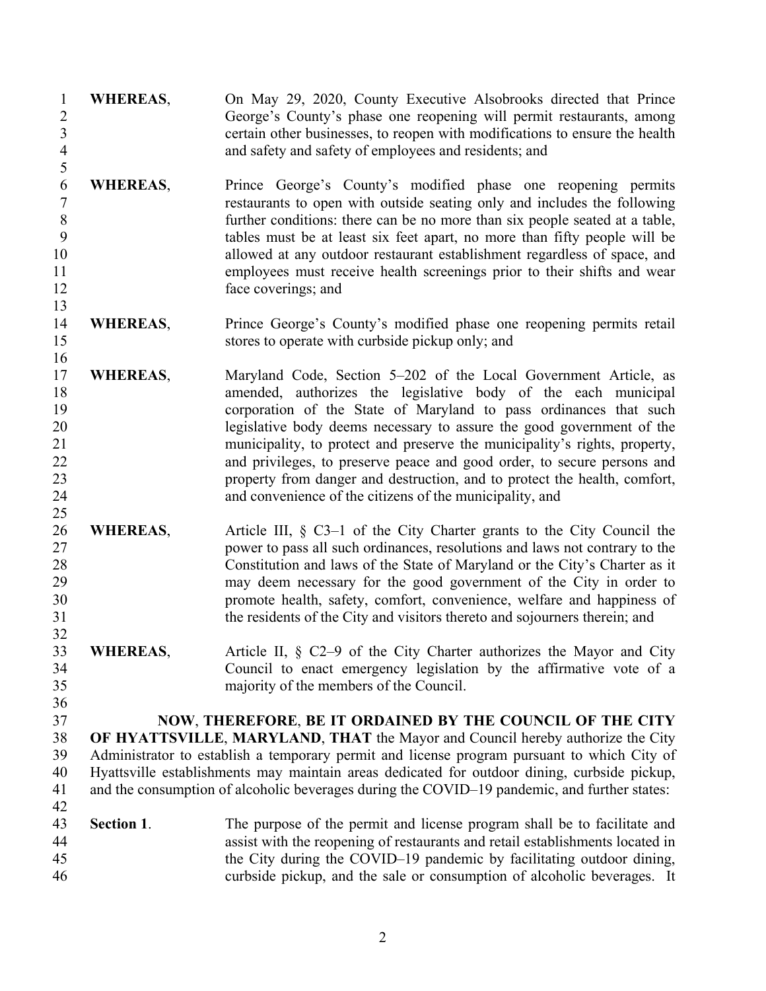| $\mathbf{1}$<br>$\sqrt{2}$<br>$\overline{3}$<br>$\overline{4}$<br>5        | <b>WHEREAS,</b>                                                                                                                                                                              | On May 29, 2020, County Executive Alsobrooks directed that Prince<br>George's County's phase one reopening will permit restaurants, among<br>certain other businesses, to reopen with modifications to ensure the health<br>and safety and safety of employees and residents; and                                                                                                                                                                                                                                                                                                  |
|----------------------------------------------------------------------------|----------------------------------------------------------------------------------------------------------------------------------------------------------------------------------------------|------------------------------------------------------------------------------------------------------------------------------------------------------------------------------------------------------------------------------------------------------------------------------------------------------------------------------------------------------------------------------------------------------------------------------------------------------------------------------------------------------------------------------------------------------------------------------------|
| $\boldsymbol{6}$<br>$\overline{7}$<br>$\,8\,$<br>9<br>10<br>11<br>12<br>13 | <b>WHEREAS,</b>                                                                                                                                                                              | Prince George's County's modified phase one reopening permits<br>restaurants to open with outside seating only and includes the following<br>further conditions: there can be no more than six people seated at a table,<br>tables must be at least six feet apart, no more than fifty people will be<br>allowed at any outdoor restaurant establishment regardless of space, and<br>employees must receive health screenings prior to their shifts and wear<br>face coverings; and                                                                                                |
| 14<br>15<br>16                                                             | <b>WHEREAS,</b>                                                                                                                                                                              | Prince George's County's modified phase one reopening permits retail<br>stores to operate with curbside pickup only; and                                                                                                                                                                                                                                                                                                                                                                                                                                                           |
| 17<br>18<br>19<br>20<br>21<br>22<br>23<br>24<br>25                         | <b>WHEREAS,</b>                                                                                                                                                                              | Maryland Code, Section 5-202 of the Local Government Article, as<br>amended, authorizes the legislative body of the each municipal<br>corporation of the State of Maryland to pass ordinances that such<br>legislative body deems necessary to assure the good government of the<br>municipality, to protect and preserve the municipality's rights, property,<br>and privileges, to preserve peace and good order, to secure persons and<br>property from danger and destruction, and to protect the health, comfort,<br>and convenience of the citizens of the municipality, and |
| 26<br>27<br>28<br>29<br>30<br>31<br>32                                     | <b>WHEREAS,</b>                                                                                                                                                                              | Article III, $\S$ C3-1 of the City Charter grants to the City Council the<br>power to pass all such ordinances, resolutions and laws not contrary to the<br>Constitution and laws of the State of Maryland or the City's Charter as it<br>may deem necessary for the good government of the City in order to<br>promote health, safety, comfort, convenience, welfare and happiness of<br>the residents of the City and visitors thereto and sojourners therein; and                                                                                                               |
| 33<br>34<br>35<br>36                                                       | <b>WHEREAS</b>                                                                                                                                                                               | Article II, § C2–9 of the City Charter authorizes the Mayor and City<br>Council to enact emergency legislation by the affirmative vote of a<br>majority of the members of the Council.                                                                                                                                                                                                                                                                                                                                                                                             |
| 37                                                                         |                                                                                                                                                                                              | NOW, THEREFORE, BE IT ORDAINED BY THE COUNCIL OF THE CITY                                                                                                                                                                                                                                                                                                                                                                                                                                                                                                                          |
| 38                                                                         |                                                                                                                                                                                              | OF HYATTSVILLE, MARYLAND, THAT the Mayor and Council hereby authorize the City                                                                                                                                                                                                                                                                                                                                                                                                                                                                                                     |
| 39                                                                         |                                                                                                                                                                                              | Administrator to establish a temporary permit and license program pursuant to which City of                                                                                                                                                                                                                                                                                                                                                                                                                                                                                        |
| 40<br>41<br>42                                                             | Hyattsville establishments may maintain areas dedicated for outdoor dining, curbside pickup,<br>and the consumption of alcoholic beverages during the COVID-19 pandemic, and further states: |                                                                                                                                                                                                                                                                                                                                                                                                                                                                                                                                                                                    |
| 43<br>44<br>45<br>46                                                       | Section 1.                                                                                                                                                                                   | The purpose of the permit and license program shall be to facilitate and<br>assist with the reopening of restaurants and retail establishments located in<br>the City during the COVID–19 pandemic by facilitating outdoor dining,<br>curbside pickup, and the sale or consumption of alcoholic beverages. It                                                                                                                                                                                                                                                                      |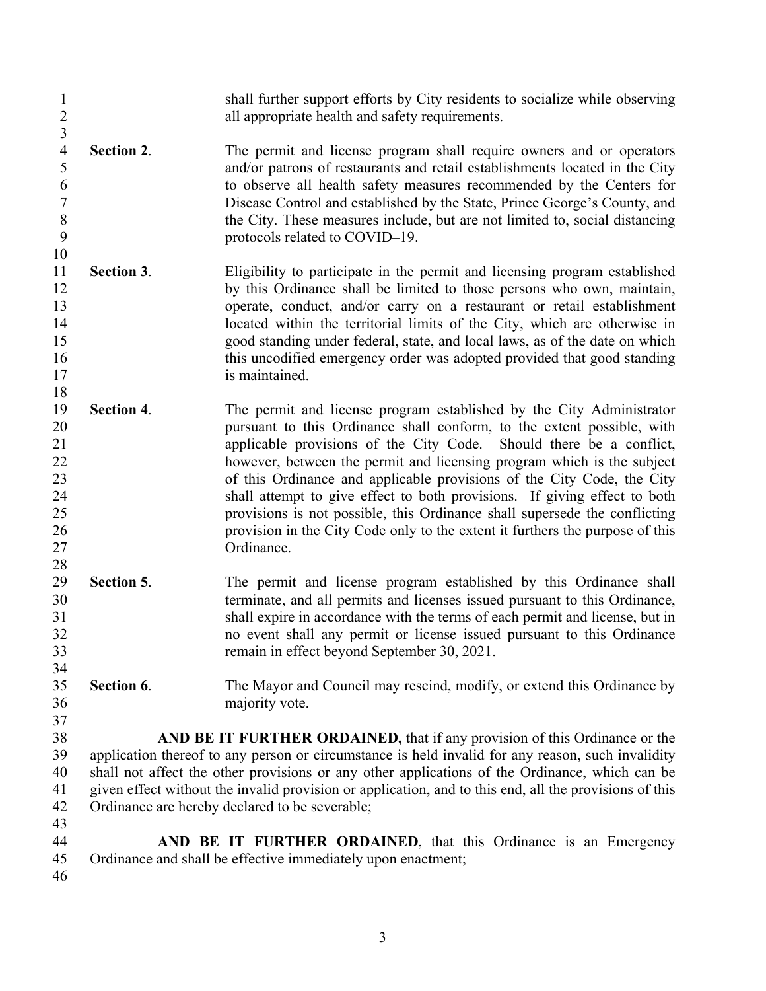- shall further support efforts by City residents to socialize while observing all appropriate health and safety requirements. 4 **Section 2**. The permit and license program shall require owners and or operators and/or patrons of restaurants and retail establishments located in the City and/or patrons of restaurants and retail establishments located in the City to observe all health safety measures recommended by the Centers for Disease Control and established by the State, Prince George's County, and 8 the City. These measures include, but are not limited to, social distancing<br>9 total of COVID-19. protocols related to COVID–19. **Section 3**. Eligibility to participate in the permit and licensing program established 12 by this Ordinance shall be limited to those persons who own, maintain, operate, conduct, and/or carry on a restaurant or retail establishment 14 located within the territorial limits of the City, which are otherwise in good standing under federal, state, and local laws, as of the date on which this uncodified emergency order was adopted provided that good standing 17 is maintained. **Section 4**. The permit and license program established by the City Administrator pursuant to this Ordinance shall conform, to the extent possible, with applicable provisions of the City Code. Should there be a conflict, however, between the permit and licensing program which is the subject of this Ordinance and applicable provisions of the City Code, the City shall attempt to give effect to both provisions. If giving effect to both provisions is not possible, this Ordinance shall supersede the conflicting provision in the City Code only to the extent it furthers the purpose of this Ordinance. **Section 5**. The permit and license program established by this Ordinance shall terminate, and all permits and licenses issued pursuant to this Ordinance, shall expire in accordance with the terms of each permit and license, but in no event shall any permit or license issued pursuant to this Ordinance remain in effect beyond September 30, 2021. **Section 6**. The Mayor and Council may rescind, modify, or extend this Ordinance by majority vote. **AND BE IT FURTHER ORDAINED,** that if any provision of this Ordinance or the application thereof to any person or circumstance is held invalid for any reason, such invalidity shall not affect the other provisions or any other applications of the Ordinance, which can be given effect without the invalid provision or application, and to this end, all the provisions of this Ordinance are hereby declared to be severable; **AND BE IT FURTHER ORDAINED**, that this Ordinance is an Emergency Ordinance and shall be effective immediately upon enactment;
	-